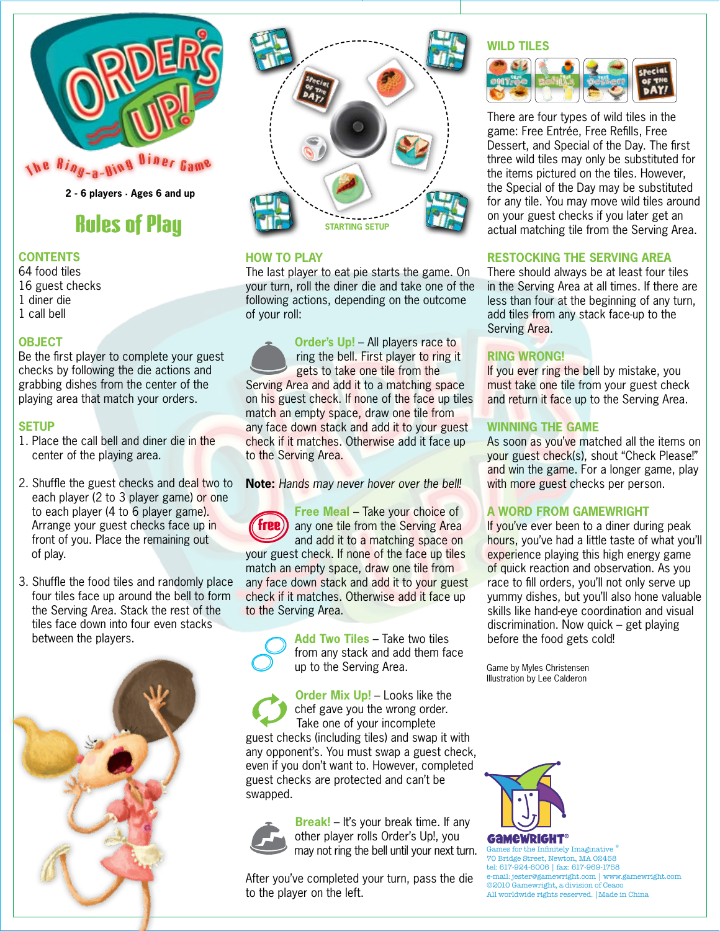

# Rules of Play

# **CONTENTS**

64 food tiles 16 guest checks 1 diner die 1 call bell

# **OBJECT**

Be the first player to complete your guest checks by following the die actions and grabbing dishes from the center of the playing area that match your orders.

### **SETUP**

- 1. Place the call bell and diner die in the center of the playing area.
- 2. Shuffle the guest checks and deal two to each player (2 to 3 player game) or one to each player (4 to 6 player game). Arrange your guest checks face up in front of you. Place the remaining out of play.
- 3. Shuffle the food tiles and randomly place four tiles face up around the bell to form the Serving Area. Stack the rest of the tiles face down into four even stacks between the players.





### **HOW TO PLAY**

The last player to eat pie starts the game. On your turn, roll the diner die and take one of the following actions, depending on the outcome of your roll:

 **Order's Up!** – All players race to ring the bell. First player to ring it gets to take one tile from the Serving Area and add it to a matching space on his guest check. If none of the face up tiles match an empty space, draw one tile from any face down stack and add it to your guest check if it matches. Otherwise add it face up to the Serving Area.

**Note:** *Hands may never hover over the bell!*

**Free Meal – Take your choice of**  any one tile from the Serving Area and add it to a matching space on your guest check. If none of the face up tiles match an empty space, draw one tile from any face down stack and add it to your guest check if it matches. Otherwise add it face up to the Serving Area. Free



 **Add Two Tiles** – Take two tiles from any stack and add them face up to the Serving Area.

 **Order Mix Up!** – Looks like the chef gave you the wrong order. Take one of your incomplete guest checks (including tiles) and swap it with any opponent's. You must swap a guest check, even if you don't want to. However, completed guest checks are protected and can't be swapped.



 **Break!** – It's your break time. If any other player rolls Order's Up!, you may not ring the bell until your next turn.

After you've completed your turn, pass the die to the player on the left.

#### **WILD TILES**



There are four types of wild tiles in the game: Free Entrée, Free Refills, Free Dessert, and Special of the Day. The first three wild tiles may only be substituted for the items pictured on the tiles. However, the Special of the Day may be substituted for any tile. You may move wild tiles around on your guest checks if you later get an actual matching tile from the Serving Area.

# **RESTOCKING THE SERVING AREA**

There should always be at least four tiles in the Serving Area at all times. If there are less than four at the beginning of any turn, add tiles from any stack face-up to the Serving Area.

# **RING WRONG!**

If you ever ring the bell by mistake, you must take one tile from your guest check and return it face up to the Serving Area.

# **WINNING THE GAME**

As soon as you've matched all the items on your guest check(s), shout "Check Please!" and win the game. For a longer game, play with more guest checks per person.

### **A WORD FROM GAMEWRIGHT**

If you've ever been to a diner during peak hours, you've had a little taste of what you'll experience playing this high energy game of quick reaction and observation. As you race to fill orders, you'll not only serve up yummy dishes, but you'll also hone valuable skills like hand-eye coordination and visual discrimination. Now quick – get playing before the food gets cold!

Game by Myles Christensen Illustration by Lee Calderon



Games for the Infinitely Imaginative ® 70 Bridge Street, Newton, MA 02458 tel: 617-924-6006 | fax: 617-969-1758 e-mail: jester@gamewright.com | www.gamewright.com ©2010 Gamewright, a division of Ceaco All worldwide rights reserved. |Made in China